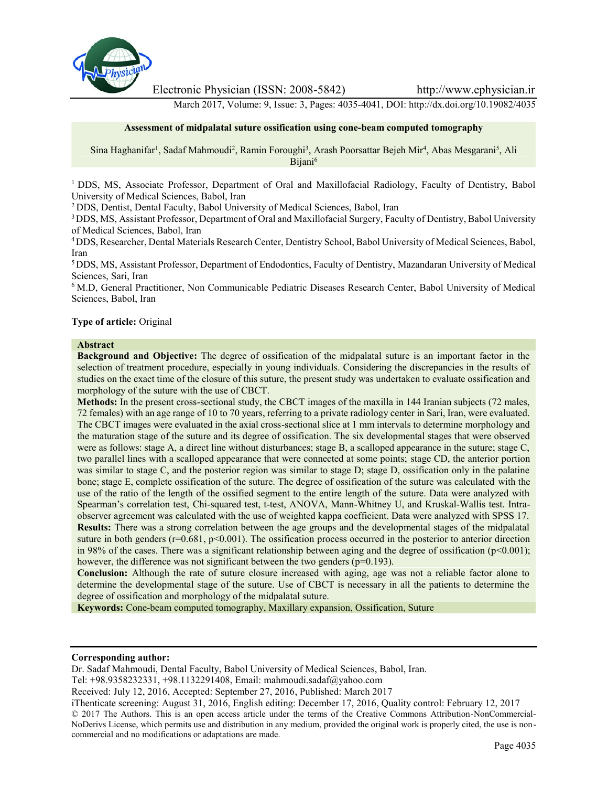

Electronic Physician (ISSN: 2008-5842) http://www.ephysician.ir

March 2017, Volume: 9, Issue: 3, Pages: 4035-4041, DOI: http://dx.doi.org/10.19082/4035

#### **Assessment of midpalatal suture ossification using cone-beam computed tomography**

Sina Haghanifar<sup>1</sup>, Sadaf Mahmoudi<sup>2</sup>, Ramin Foroughi<sup>3</sup>, Arash Poorsattar Bejeh Mir<sup>4</sup>, Abas Mesgarani<sup>5</sup>, Ali Bijani<sup>6</sup>

<sup>1</sup> DDS, MS, Associate Professor, Department of Oral and Maxillofacial Radiology, Faculty of Dentistry, Babol University of Medical Sciences, Babol, Iran

<sup>2</sup> DDS, Dentist, Dental Faculty, Babol University of Medical Sciences, Babol, Iran

<sup>3</sup>DDS, MS, Assistant Professor, Department of Oral and Maxillofacial Surgery, Faculty of Dentistry, Babol University of Medical Sciences, Babol, Iran

<sup>4</sup>DDS, Researcher, Dental Materials Research Center, Dentistry School, Babol University of Medical Sciences, Babol, Iran

<sup>5</sup> DDS, MS, Assistant Professor, Department of Endodontics, Faculty of Dentistry, Mazandaran University of Medical Sciences, Sari, Iran

<sup>6</sup> M.D, General Practitioner, Non Communicable Pediatric Diseases Research Center, Babol University of Medical Sciences, Babol, Iran

#### **Type of article:** Original

# **Abstract**

**Background and Objective:** The degree of ossification of the midpalatal suture is an important factor in the selection of treatment procedure, especially in young individuals. Considering the discrepancies in the results of studies on the exact time of the closure of this suture, the present study was undertaken to evaluate ossification and morphology of the suture with the use of CBCT.

**Methods:** In the present cross-sectional study, the CBCT images of the maxilla in 144 Iranian subjects (72 males, 72 females) with an age range of 10 to 70 years, referring to a private radiology center in Sari, Iran, were evaluated. The CBCT images were evaluated in the axial cross-sectional slice at 1 mm intervals to determine morphology and the maturation stage of the suture and its degree of ossification. The six developmental stages that were observed were as follows: stage A, a direct line without disturbances; stage B, a scalloped appearance in the suture; stage C, two parallel lines with a scalloped appearance that were connected at some points; stage CD, the anterior portion was similar to stage C, and the posterior region was similar to stage D; stage D, ossification only in the palatine bone; stage E, complete ossification of the suture. The degree of ossification of the suture was calculated with the use of the ratio of the length of the ossified segment to the entire length of the suture. Data were analyzed with Spearman's correlation test, Chi-squared test, t-test, ANOVA, Mann-Whitney U, and Kruskal-Wallis test. Intra observer agreement was calculated with the use of weighted kappa coefficient. Data were analyzed with SPSS 17. **Results:** There was a strong correlation between the age groups and the developmental stages of the midpalatal suture in both genders ( $r=0.681$ ,  $p<0.001$ ). The ossification process occurred in the posterior to anterior direction in 98% of the cases. There was a significant relationship between aging and the degree of ossification  $(p<0.001)$ ; however, the difference was not significant between the two genders (p=0.193).

**Conclusion:** Although the rate of suture closure increased with aging, age was not a reliable factor alone to determine the developmental stage of the suture. Use of CBCT is necessary in all the patients to determine the degree of ossification and morphology of the midpalatal suture.

**Keywords:** Cone-beam computed tomography, Maxillary expansion, Ossification, Suture

#### **Corresponding author:**

Dr. Sadaf Mahmoudi, Dental Faculty, Babol University of Medical Sciences, Babol, Iran.

Tel: +98.9358232331, +98.1132291408, Email: mahmoudi.sadaf@yahoo.com

Received: July 12, 2016, Accepted: September 27, 2016, Published: March 2017

iThenticate screening: August 31, 2016, English editing: December 17, 2016, Quality control: February 12, 2017 © 2017 The Authors. This is an open access article under the terms of the Creative Commons Attribution-NonCommercial- NoDerivs License, which permits use and distribution in any medium, provided the original work is properly cited, the use is non commercial and no modifications or adaptations are made.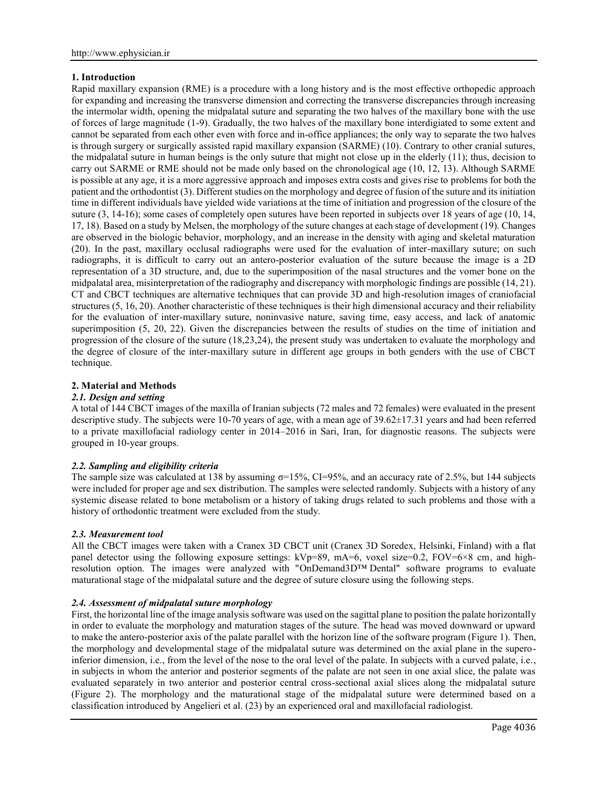## **1. Introduction**

Rapid maxillary expansion (RME) is a procedure with a long history and is the most effective orthopedic approach for expanding and increasing the transverse dimension and correcting the transverse discrepancies through increasing the intermolar width, opening the midpalatal suture and separating the two halves of the maxillary bone with the use of forces of large magnitude (1-9). Gradually, the two halves of the maxillary bone interdigiated to some extent and cannot be separated from each other even with force and in-office appliances; the only way to separate the two halves is through surgery or surgically assisted rapid maxillary expansion (SARME) (10). Contrary to other cranial sutures, the midpalatal suture in human beings is the only suture that might not close up in the elderly (11); thus, decision to carry out SARME or RME should not be made only based on the chronological age (10, 12, 13). Although SARME is possible at any age, it is a more aggressive approach and imposes extra costs and gives rise to problems for both the patient and the orthodontist (3). Different studies on the morphology and degree of fusion of the suture and its initiation time in different individuals have yielded wide variations at the time of initiation and progression of the closure of the suture (3, 14-16); some cases of completely open sutures have been reported in subjects over 18 years of age (10, 14, 17, 18). Based on a study by Melsen, the morphology of the suture changes at each stage of development (19). Changes are observed in the biologic behavior, morphology, and an increase in the density with aging and skeletal maturation (20). In the past, maxillary occlusal radiographs were used for the evaluation of inter-maxillary suture; on such radiographs, it is difficult to carry out an antero-posterior evaluation of the suture because the image is a 2D representation of a 3D structure, and, due to the superimposition of the nasal structures and the vomer bone on the midpalatal area, misinterpretation of the radiography and discrepancy with morphologic findings are possible (14, 21). CT and CBCT techniques are alternative techniques that can provide 3D and high-resolution images of craniofacial structures (5, 16, 20). Another characteristic of these techniques is their high dimensional accuracy and their reliability for the evaluation of inter-maxillary suture, noninvasive nature, saving time, easy access, and lack of anatomic superimposition (5, 20, 22). Given the discrepancies between the results of studies on the time of initiation and progression of the closure of the suture (18,23,24), the present study was undertaken to evaluate the morphology and the degree of closure of the inter-maxillary suture in different age groups in both genders with the use of CBCT technique.

# **2. Material and Methods**

## *2.1. Design and setting*

A total of 144 CBCT images of the maxilla of Iranian subjects (72 males and 72 females) were evaluated in the present descriptive study. The subjects were 10-70 years of age, with a mean age of 39.62±17.31 years and had been referred to a private maxillofacial radiology center in 2014–2016 in Sari, Iran, for diagnostic reasons. The subjects were grouped in 10-year groups.

### *2.2. Sampling and eligibility criteria*

The sample size was calculated at 138 by assuming  $\sigma = 15\%$ , CI=95%, and an accuracy rate of 2.5%, but 144 subjects were included for proper age and sex distribution. The samples were selected randomly. Subjects with a history of any systemic disease related to bone metabolism or a history of taking drugs related to such problems and those with a history of orthodontic treatment were excluded from the study.

### *2.3. Measurement tool*

All the CBCT images were taken with a Cranex 3D CBCT unit (Cranex 3D Soredex, Helsinki, Finland) with a flat panel detector using the following exposure settings: kVp=89, mA=6, voxel size=0.2, FOV=6×8 cm, and highresolution option. The images were analyzed with "OnDemand3D™ Dental" software programs to evaluate maturational stage of the midpalatal suture and the degree of suture closure using the following steps.

# *2.4. Assessment of midpalatal suture morphology*

First, the horizontal line of the image analysis software was used on the sagittal plane to position the palate horizontally in order to evaluate the morphology and maturation stages of the suture. The head was moved downward or upward to make the antero-posterior axis of the palate parallel with the horizon line of the software program (Figure 1). Then, the morphology and developmental stage of the midpalatal suture was determined on the axial plane in the superoinferior dimension, i.e., from the level of the nose to the oral level of the palate. In subjects with a curved palate, i.e., in subjects in whom the anterior and posterior segments of the palate are not seen in one axial slice, the palate was evaluated separately in two anterior and posterior central cross-sectional axial slices along the midpalatal suture (Figure 2). The morphology and the maturational stage of the midpalatal suture were determined based on a classification introduced by Angelieri et al. (23) by an experienced oral and maxillofacial radiologist.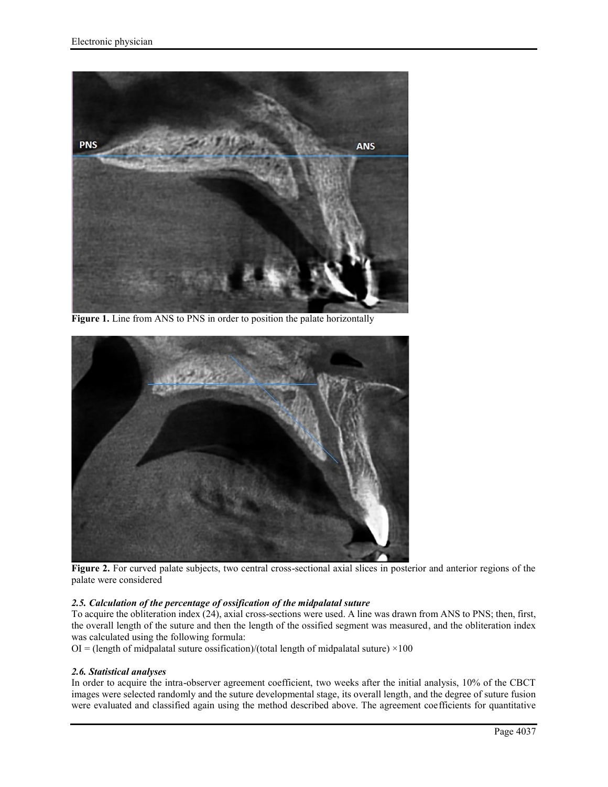

**Figure 1.** Line from ANS to PNS in order to position the palate horizontally



**Figure 2.** For curved palate subjects, two central cross-sectional axial slices in posterior and anterior regions of the palate were considered

### *2.5. Calculation of the percentage of ossification of the midpalatal suture*

To acquire the obliteration index (24), axial cross-sections were used. A line was drawn from ANS to PNS; then, first, the overall length of the suture and then the length of the ossified segment was measured, and the obliteration index was calculated using the following formula:

 $OI = (length of midpalatal suture ossification)/(total length of midpalatal suture) \times 100$ 

### *2.6. Statistical analyses*

In order to acquire the intra-observer agreement coefficient, two weeks after the initial analysis, 10% of the CBCT images were selected randomly and the suture developmental stage, its overall length, and the degree of suture fusion were evaluated and classified again using the method described above. The agreement coefficients for quantitative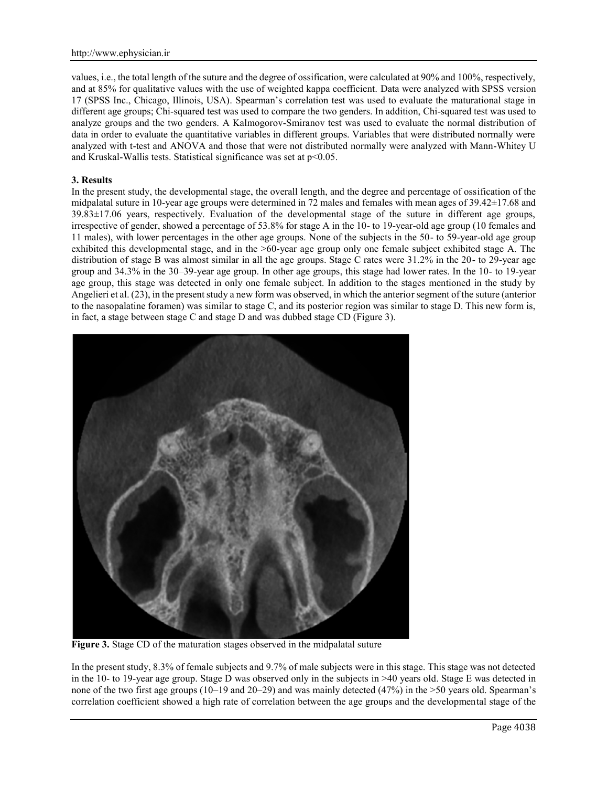values, i.e., the total length of the suture and the degree of ossification, were calculated at 90% and 100%, respectively, and at 85% for qualitative values with the use of weighted kappa coefficient. Data were analyzed with SPSS version 17 (SPSS Inc., Chicago, Illinois, USA). Spearman's correlation test was used to evaluate the maturational stage in different age groups; Chi-squared test was used to compare the two genders. In addition, Chi-squared test was used to analyze groups and the two genders. A Kalmogorov-Smiranov test was used to evaluate the normal distribution of data in order to evaluate the quantitative variables in different groups. Variables that were distributed normally were analyzed with t-test and ANOVA and those that were not distributed normally were analyzed with Mann-Whitey U and Kruskal-Wallis tests. Statistical significance was set at p<0.05.

# **3. Results**

In the present study, the developmental stage, the overall length, and the degree and percentage of ossification of the midpalatal suture in 10-year age groups were determined in 72 males and females with mean ages of 39.42±17.68 and 39.83±17.06 years, respectively. Evaluation of the developmental stage of the suture in different age groups, irrespective of gender, showed a percentage of 53.8% for stage A in the 10- to 19-year-old age group (10 females and 11 males), with lower percentages in the other age groups. None of the subjects in the 50- to 59-year-old age group exhibited this developmental stage, and in the >60-year age group only one female subject exhibited stage A. The distribution of stage B was almost similar in all the age groups. Stage C rates were 31.2% in the 20- to 29-year age group and 34.3% in the 30‒39-year age group. In other age groups, this stage had lower rates. In the 10- to 19-year age group, this stage was detected in only one female subject. In addition to the stages mentioned in the study by Angelieri et al. (23), in the present study a new form was observed, in which the anterior segment of the suture (anterior to the nasopalatine foramen) was similar to stage C, and its posterior region was similar to stage D. This new form is, in fact, a stage between stage C and stage D and was dubbed stage CD (Figure 3).



**Figure 3.** Stage CD of the maturation stages observed in the midpalatal suture

In the present study, 8.3% of female subjects and 9.7% of male subjects were in this stage. This stage was not detected in the 10- to 19-year age group. Stage D was observed only in the subjects in >40 years old. Stage E was detected in none of the two first age groups (10–19 and 20–29) and was mainly detected (47%) in the >50 years old. Spearman's correlation coefficient showed a high rate of correlation between the age groups and the developmental stage of the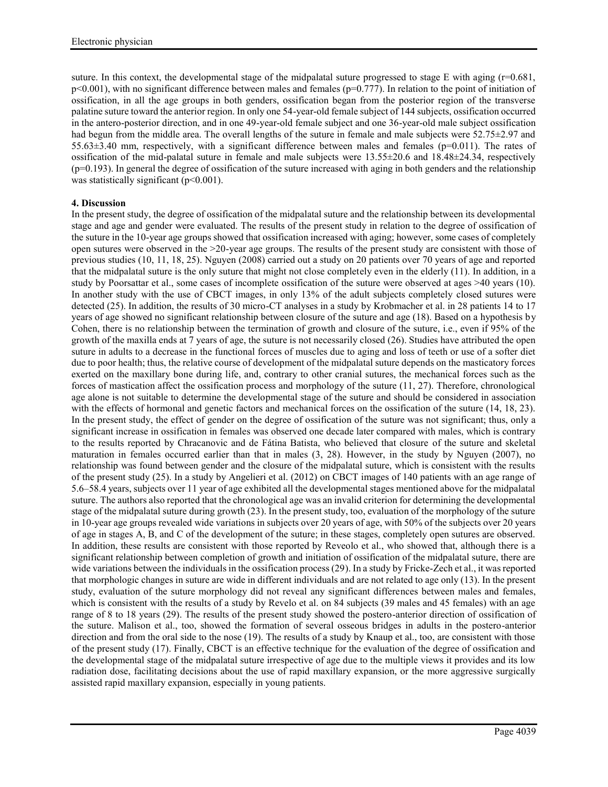suture. In this context, the developmental stage of the midpalatal suture progressed to stage E with aging  $(r=0.681, r=0.681)$  $p<0.001$ ), with no significant difference between males and females ( $p=0.777$ ). In relation to the point of initiation of ossification, in all the age groups in both genders, ossification began from the posterior region of the transverse palatine suture toward the anterior region. In only one 54-year-old female subject of 144 subjects, ossification occurred in the antero-posterior direction, and in one 49-year-old female subject and one 36-year-old male subject ossification had begun from the middle area. The overall lengths of the suture in female and male subjects were 52.75±2.97 and 55.63±3.40 mm, respectively, with a significant difference between males and females (p=0.011). The rates of ossification of the mid-palatal suture in female and male subjects were  $13.55\pm20.6$  and  $18.48\pm24.34$ , respectively  $(p=0.193)$ . In general the degree of ossification of the suture increased with aging in both genders and the relationship was statistically significant (p<0.001).

# **4. Discussion**

In the present study, the degree of ossification of the midpalatal suture and the relationship between its developmental stage and age and gender were evaluated. The results of the present study in relation to the degree of ossification of the suture in the 10-year age groups showed that ossification increased with aging; however, some cases of completely open sutures were observed in the >20-year age groups. The results of the present study are consistent with those of previous studies (10, 11, 18, 25). Nguyen (2008) carried out a study on 20 patients over 70 years of age and reported that the midpalatal suture is the only suture that might not close completely even in the elderly (11). In addition, in a study by Poorsattar et al., some cases of incomplete ossification of the suture were observed at ages >40 years (10). In another study with the use of CBCT images, in only 13% of the adult subjects completely closed sutures were detected (25). In addition, the results of 30 micro-CT analyses in a study by Krobmacher et al. in 28 patients 14 to 17 years of age showed no significant relationship between closure of the suture and age (18). Based on a hypothesis by Cohen, there is no relationship between the termination of growth and closure of the suture, i.e., even if 95% of the growth of the maxilla ends at 7 years of age, the suture is not necessarily closed (26). Studies have attributed the open suture in adults to a decrease in the functional forces of muscles due to aging and loss of teeth or use of a softer diet due to poor health; thus, the relative course of development of the midpalatal suture depends on the masticatory forces exerted on the maxillary bone during life, and, contrary to other cranial sutures, the mechanical forces such as the forces of mastication affect the ossification process and morphology of the suture (11, 27). Therefore, chronological age alone is not suitable to determine the developmental stage of the suture and should be considered in association with the effects of hormonal and genetic factors and mechanical forces on the ossification of the suture (14, 18, 23). In the present study, the effect of gender on the degree of ossification of the suture was not significant; thus, only a significant increase in ossification in females was observed one decade later compared with males, which is contrary to the results reported by Chracanovic and de Fátina Batista, who believed that closure of the suture and skeletal maturation in females occurred earlier than that in males (3, 28). However, in the study by Nguyen (2007), no relationship was found between gender and the closure of the midpalatal suture, which is consistent with the results of the present study (25). In a study by Angelieri et al. (2012) on CBCT images of 140 patients with an age range of 5.6‒58.4 years, subjects over 11 year of age exhibited all the developmental stages mentioned above for the midpalatal suture. The authors also reported that the chronological age was an invalid criterion for determining the developmental stage of the midpalatal suture during growth (23). In the present study, too, evaluation of the morphology of the suture in 10-year age groups revealed wide variations in subjects over 20 years of age, with 50% of the subjects over 20 years of age in stages A, B, and C of the development of the suture; in these stages, completely open sutures are observed. In addition, these results are consistent with those reported by Reveolo et al., who showed that, although there is a significant relationship between completion of growth and initiation of ossification of the midpalatal suture, there are wide variations between the individuals in the ossification process (29). In a study by Fricke-Zech et al., it was reported that morphologic changes in suture are wide in different individuals and are not related to age only (13). In the present study, evaluation of the suture morphology did not reveal any significant differences between males and females, which is consistent with the results of a study by Revelo et al. on 84 subjects (39 males and 45 females) with an age range of 8 to 18 years (29). The results of the present study showed the postero-anterior direction of ossification of the suture. Malison et al., too, showed the formation of several osseous bridges in adults in the postero-anterior direction and from the oral side to the nose (19). The results of a study by Knaup et al., too, are consistent with those of the present study (17). Finally, CBCT is an effective technique for the evaluation of the degree of ossification and the developmental stage of the midpalatal suture irrespective of age due to the multiple views it provides and its low radiation dose, facilitating decisions about the use of rapid maxillary expansion, or the more aggressive surgically assisted rapid maxillary expansion, especially in young patients.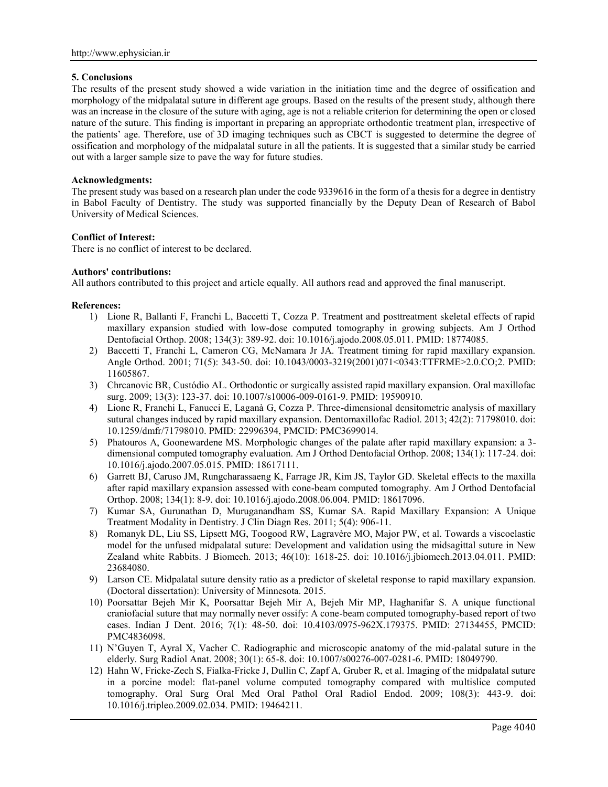#### **5. Conclusions**

The results of the present study showed a wide variation in the initiation time and the degree of ossification and morphology of the midpalatal suture in different age groups. Based on the results of the present study, although there was an increase in the closure of the suture with aging, age is not a reliable criterion for determining the open or closed nature of the suture. This finding is important in preparing an appropriate orthodontic treatment plan, irrespective of the patients' age. Therefore, use of 3D imaging techniques such as CBCT is suggested to determine the degree of ossification and morphology of the midpalatal suture in all the patients. It is suggested that a similar study be carried out with a larger sample size to pave the way for future studies.

#### **Acknowledgments:**

The present study was based on a research plan under the code 9339616 in the form of a thesis for a degree in dentistry in Babol Faculty of Dentistry. The study was supported financially by the Deputy Dean of Research of Babol University of Medical Sciences.

### **Conflict of Interest:**

There is no conflict of interest to be declared.

#### **Authors' contributions:**

All authors contributed to this project and article equally. All authors read and approved the final manuscript.

#### **References:**

- 1) Lione R, Ballanti F, Franchi L, Baccetti T, Cozza P. Treatment and posttreatment skeletal effects of rapid maxillary expansion studied with low-dose computed tomography in growing subjects. Am J Orthod Dentofacial Orthop. 2008; 134(3): 389-92. doi: 10.1016/j.ajodo.2008.05.011. PMID: 18774085.
- 2) Baccetti T, Franchi L, Cameron CG, McNamara Jr JA. Treatment timing for rapid maxillary expansion. Angle Orthod. 2001; 71(5): 343-50. doi: 10.1043/0003-3219(2001)071<0343:TTFRME>2.0.CO;2. PMID: 11605867.
- 3) Chrcanovic BR, Custódio AL. Orthodontic or surgically assisted rapid maxillary expansion. Oral maxillofac surg. 2009; 13(3): 123-37. doi: 10.1007/s10006-009-0161-9. PMID: 19590910.
- 4) Lione R, Franchi L, Fanucci E, Laganà G, Cozza P. Three-dimensional densitometric analysis of maxillary sutural changes induced by rapid maxillary expansion. Dentomaxillofac Radiol. 2013; 42(2): 71798010. doi: 10.1259/dmfr/71798010. PMID: 22996394, PMCID: PMC3699014.
- 5) Phatouros A, Goonewardene MS. Morphologic changes of the palate after rapid maxillary expansion: a 3 dimensional computed tomography evaluation. Am J Orthod Dentofacial Orthop. 2008; 134(1): 117-24. doi: 10.1016/j.ajodo.2007.05.015. PMID: 18617111.
- 6) Garrett BJ, Caruso JM, Rungcharassaeng K, Farrage JR, Kim JS, Taylor GD. Skeletal effects to the maxilla after rapid maxillary expansion assessed with cone-beam computed tomography. Am J Orthod Dentofacial Orthop. 2008; 134(1): 8-9. doi: 10.1016/j.ajodo.2008.06.004. PMID: 18617096.
- 7) Kumar SA, Gurunathan D, Muruganandham SS, Kumar SA. Rapid Maxillary Expansion: A Unique Treatment Modality in Dentistry. J Clin Diagn Res. 2011; 5(4): 906-11.
- 8) Romanyk DL, Liu SS, Lipsett MG, Toogood RW, Lagravère MO, Major PW, et al. Towards a viscoelastic model for the unfused midpalatal suture: Development and validation using the midsagittal suture in New Zealand white Rabbits. J Biomech. 2013; 46(10): 1618-25. doi: 10.1016/j.jbiomech.2013.04.011. PMID: 23684080.
- 9) Larson CE. Midpalatal suture density ratio as a predictor of skeletal response to rapid maxillary expansion. (Doctoral dissertation): University of Minnesota. 2015.
- 10) Poorsattar Bejeh Mir K, Poorsattar Bejeh Mir A, Bejeh Mir MP, Haghanifar S. A unique functional craniofacial suture that may normally never ossify: A cone-beam computed tomography-based report of two cases. Indian J Dent. 2016; 7(1): 48-50. doi: 10.4103/0975-962X.179375. PMID: 27134455, PMCID: PMC4836098.
- 11) N'Guyen T, Ayral X, Vacher C. Radiographic and microscopic anatomy of the mid-palatal suture in the elderly. Surg Radiol Anat. 2008; 30(1): 65-8. doi: 10.1007/s00276-007-0281-6. PMID: 18049790.
- 12) Hahn W, Fricke-Zech S, Fialka-Fricke J, Dullin C, Zapf A, Gruber R, et al. Imaging of the midpalatal suture in a porcine model: flat-panel volume computed tomography compared with multislice computed tomography. Oral Surg Oral Med Oral Pathol Oral Radiol Endod. 2009; 108(3): 443-9. doi: 10.1016/j.tripleo.2009.02.034. PMID: 19464211.